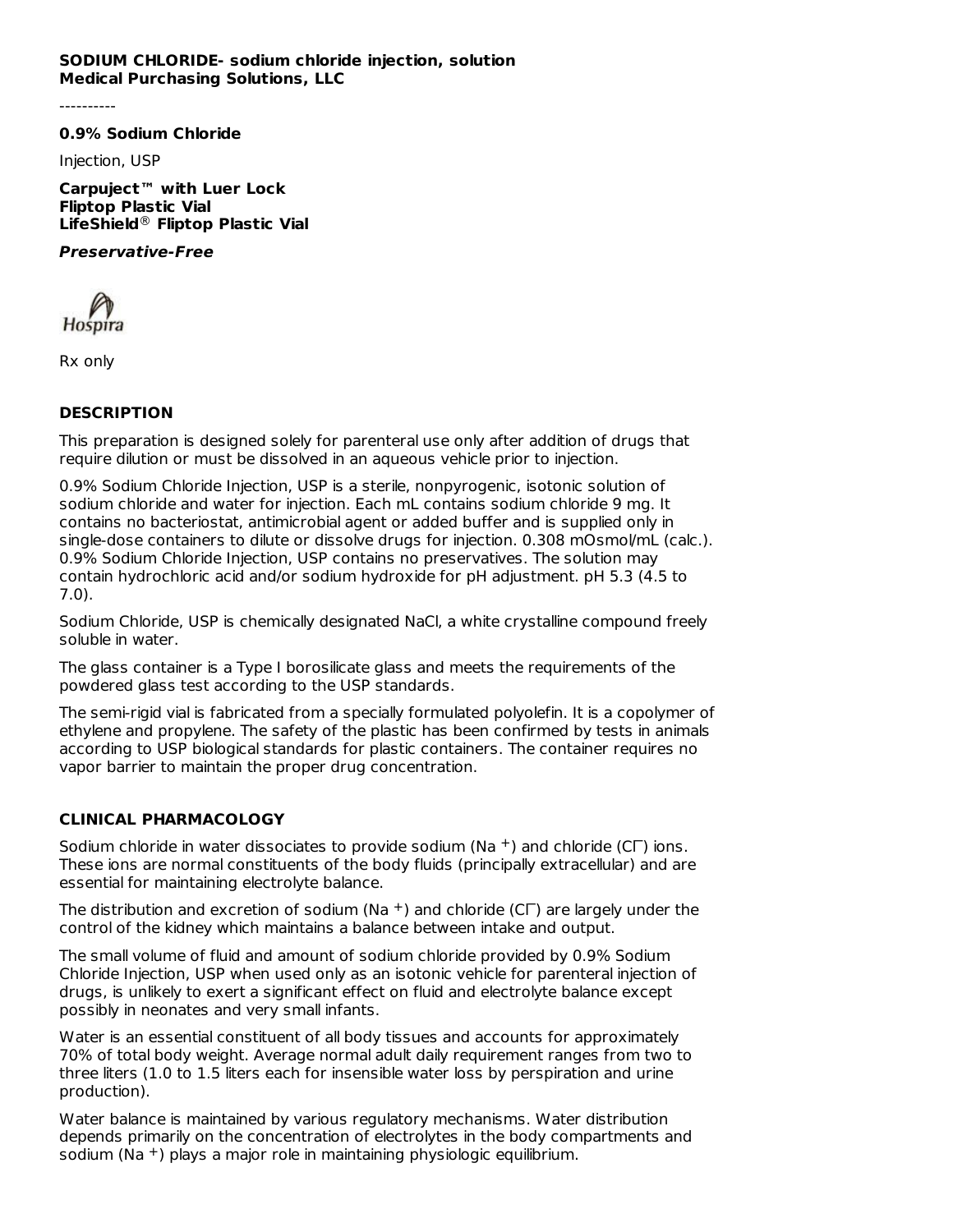#### **SODIUM CHLORIDE- sodium chloride injection, solution Medical Purchasing Solutions, LLC**

**0.9% Sodium Chloride**

Injection, USP

**Carpuject™ with Luer Lock Fliptop Plastic Vial LifeShield Fliptop Plastic Vial** ®

#### **Preservative-Free**

Hospira

Rx only

# **DESCRIPTION**

This preparation is designed solely for parenteral use only after addition of drugs that require dilution or must be dissolved in an aqueous vehicle prior to injection.

0.9% Sodium Chloride Injection, USP is a sterile, nonpyrogenic, isotonic solution of sodium chloride and water for injection. Each mL contains sodium chloride 9 mg. It contains no bacteriostat, antimicrobial agent or added buffer and is supplied only in single-dose containers to dilute or dissolve drugs for injection. 0.308 mOsmol/mL (calc.). 0.9% Sodium Chloride Injection, USP contains no preservatives. The solution may contain hydrochloric acid and/or sodium hydroxide for pH adjustment. pH 5.3 (4.5 to 7.0).

Sodium Chloride, USP is chemically designated NaCl, a white crystalline compound freely soluble in water.

The glass container is a Type I borosilicate glass and meets the requirements of the powdered glass test according to the USP standards.

The semi-rigid vial is fabricated from a specially formulated polyolefin. It is a copolymer of ethylene and propylene. The safety of the plastic has been confirmed by tests in animals according to USP biological standards for plastic containers. The container requires no vapor barrier to maintain the proper drug concentration.

# **CLINICAL PHARMACOLOGY**

Sodium chloride in water dissociates to provide sodium (Na  $^+$ ) and chloride (C $\Gamma$ ) ions. These ions are normal constituents of the body fluids (principally extracellular) and are essential for maintaining electrolyte balance.

The distribution and excretion of sodium (Na  $^+$ ) and chloride (C $\Gamma$ ) are largely under the control of the kidney which maintains a balance between intake and output.

The small volume of fluid and amount of sodium chloride provided by 0.9% Sodium Chloride Injection, USP when used only as an isotonic vehicle for parenteral injection of drugs, is unlikely to exert a significant effect on fluid and electrolyte balance except possibly in neonates and very small infants.

Water is an essential constituent of all body tissues and accounts for approximately 70% of total body weight. Average normal adult daily requirement ranges from two to three liters (1.0 to 1.5 liters each for insensible water loss by perspiration and urine production).

Water balance is maintained by various regulatory mechanisms. Water distribution depends primarily on the concentration of electrolytes in the body compartments and sodium (Na  $^+$ ) plays a major role in maintaining physiologic equilibrium.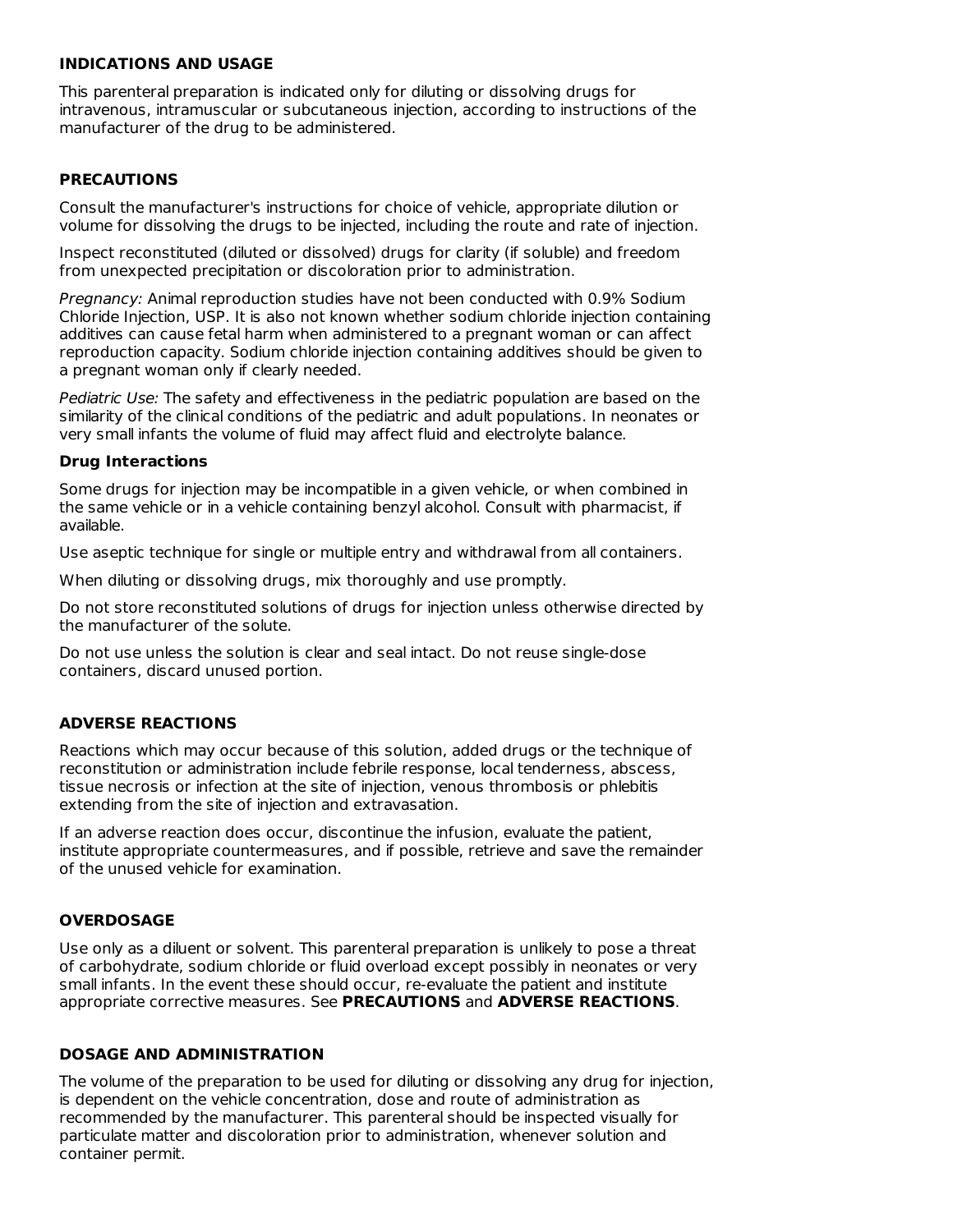#### **INDICATIONS AND USAGE**

This parenteral preparation is indicated only for diluting or dissolving drugs for intravenous, intramuscular or subcutaneous injection, according to instructions of the manufacturer of the drug to be administered.

## **PRECAUTIONS**

Consult the manufacturer's instructions for choice of vehicle, appropriate dilution or volume for dissolving the drugs to be injected, including the route and rate of injection.

Inspect reconstituted (diluted or dissolved) drugs for clarity (if soluble) and freedom from unexpected precipitation or discoloration prior to administration.

Pregnancy: Animal reproduction studies have not been conducted with 0.9% Sodium Chloride Injection, USP. It is also not known whether sodium chloride injection containing additives can cause fetal harm when administered to a pregnant woman or can affect reproduction capacity. Sodium chloride injection containing additives should be given to a pregnant woman only if clearly needed.

Pediatric Use: The safety and effectiveness in the pediatric population are based on the similarity of the clinical conditions of the pediatric and adult populations. In neonates or very small infants the volume of fluid may affect fluid and electrolyte balance.

#### **Drug Interactions**

Some drugs for injection may be incompatible in a given vehicle, or when combined in the same vehicle or in a vehicle containing benzyl alcohol. Consult with pharmacist, if available.

Use aseptic technique for single or multiple entry and withdrawal from all containers.

When diluting or dissolving drugs, mix thoroughly and use promptly.

Do not store reconstituted solutions of drugs for injection unless otherwise directed by the manufacturer of the solute.

Do not use unless the solution is clear and seal intact. Do not reuse single-dose containers, discard unused portion.

## **ADVERSE REACTIONS**

Reactions which may occur because of this solution, added drugs or the technique of reconstitution or administration include febrile response, local tenderness, abscess, tissue necrosis or infection at the site of injection, venous thrombosis or phlebitis extending from the site of injection and extravasation.

If an adverse reaction does occur, discontinue the infusion, evaluate the patient, institute appropriate countermeasures, and if possible, retrieve and save the remainder of the unused vehicle for examination.

## **OVERDOSAGE**

Use only as a diluent or solvent. This parenteral preparation is unlikely to pose a threat of carbohydrate, sodium chloride or fluid overload except possibly in neonates or very small infants. In the event these should occur, re-evaluate the patient and institute appropriate corrective measures. See **PRECAUTIONS** and **ADVERSE REACTIONS**.

## **DOSAGE AND ADMINISTRATION**

The volume of the preparation to be used for diluting or dissolving any drug for injection, is dependent on the vehicle concentration, dose and route of administration as recommended by the manufacturer. This parenteral should be inspected visually for particulate matter and discoloration prior to administration, whenever solution and container permit.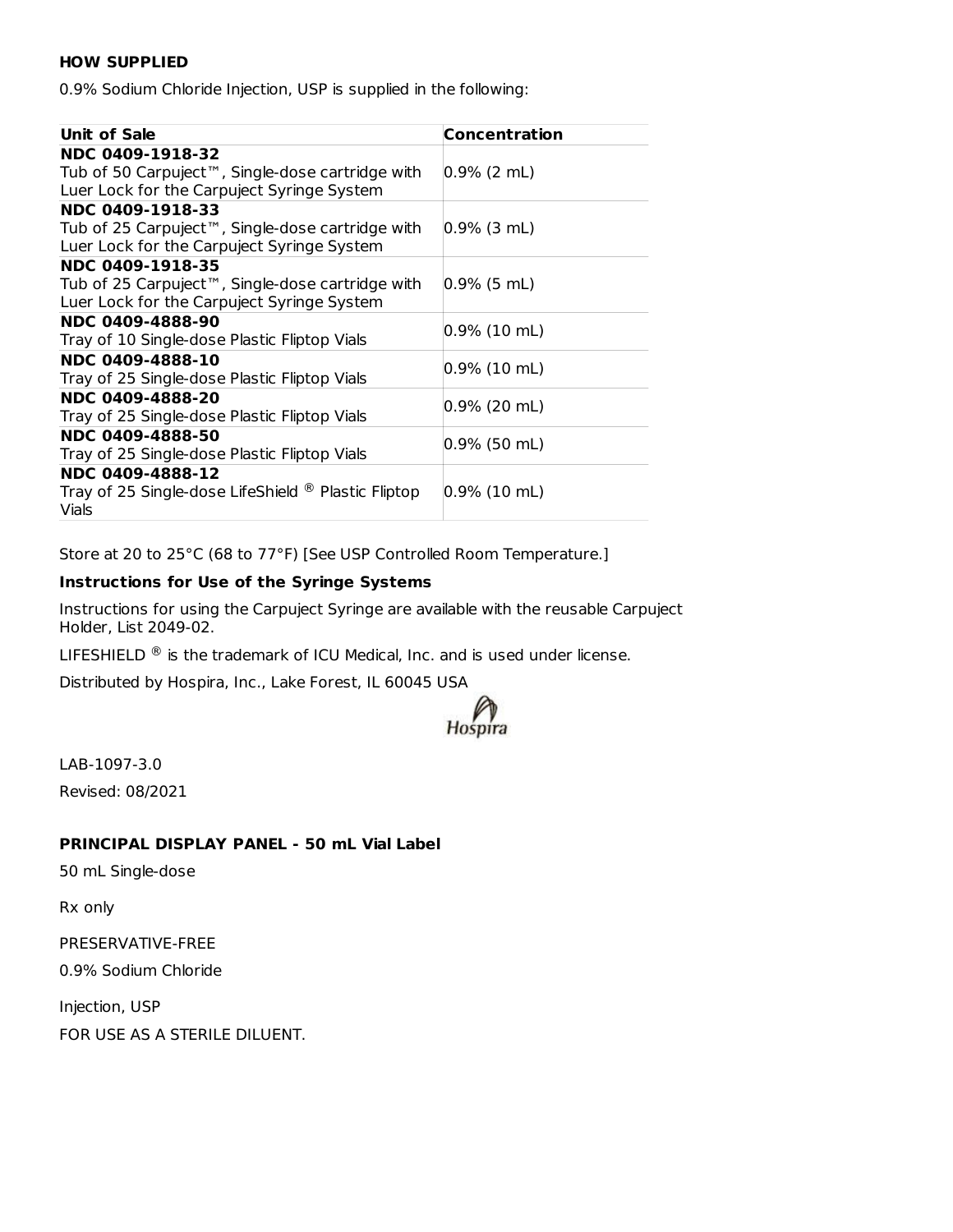#### **HOW SUPPLIED**

0.9% Sodium Chloride Injection, USP is supplied in the following:

| <b>Unit of Sale</b>                                            | <b>Concentration</b> |  |  |  |
|----------------------------------------------------------------|----------------------|--|--|--|
| NDC 0409-1918-32                                               |                      |  |  |  |
| Tub of 50 Carpuject™, Single-dose cartridge with               | $ 0.9\% $ (2 mL)     |  |  |  |
| Luer Lock for the Carpuject Syringe System                     |                      |  |  |  |
| NDC 0409-1918-33                                               |                      |  |  |  |
| Tub of 25 Carpuject™, Single-dose cartridge with               | $ 0.9\%$ (3 mL)      |  |  |  |
| Luer Lock for the Carpuject Syringe System                     |                      |  |  |  |
| NDC 0409-1918-35                                               |                      |  |  |  |
| Tub of 25 Carpuject™, Single-dose cartridge with               | $ 0.9\% $ (5 mL)     |  |  |  |
| Luer Lock for the Carpuject Syringe System                     |                      |  |  |  |
| NDC 0409-4888-90                                               | $0.9\%$ (10 mL)      |  |  |  |
| Tray of 10 Single-dose Plastic Fliptop Vials                   |                      |  |  |  |
| NDC 0409-4888-10                                               |                      |  |  |  |
| Tray of 25 Single-dose Plastic Fliptop Vials                   | $ 0.9\%$ (10 mL)     |  |  |  |
| NDC 0409-4888-20                                               |                      |  |  |  |
| Tray of 25 Single-dose Plastic Fliptop Vials                   | 0.9% (20 mL)         |  |  |  |
| NDC 0409-4888-50                                               | $ 0.9\%$ (50 mL)     |  |  |  |
| Tray of 25 Single-dose Plastic Fliptop Vials                   |                      |  |  |  |
| NDC 0409-4888-12                                               |                      |  |  |  |
| Tray of 25 Single-dose LifeShield <sup>®</sup> Plastic Fliptop | $ 0.9\%$ (10 mL)     |  |  |  |
| Vials                                                          |                      |  |  |  |

Store at 20 to 25°C (68 to 77°F) [See USP Controlled Room Temperature.]

#### **Instructions for Use of the Syringe Systems**

Instructions for using the Carpuject Syringe are available with the reusable Carpuject Holder, List 2049-02.

LIFESHIELD  $^\circledR$  is the trademark of ICU Medical, Inc. and is used under license.

Distributed by Hospira, Inc., Lake Forest, IL 60045 USA



LAB-1097-3.0 Revised: 08/2021

# **PRINCIPAL DISPLAY PANEL - 50 mL Vial Label**

50 mL Single-dose

Rx only

PRESERVATIVE-FREE

0.9% Sodium Chloride

Injection, USP FOR USE AS A STERILE DILUENT.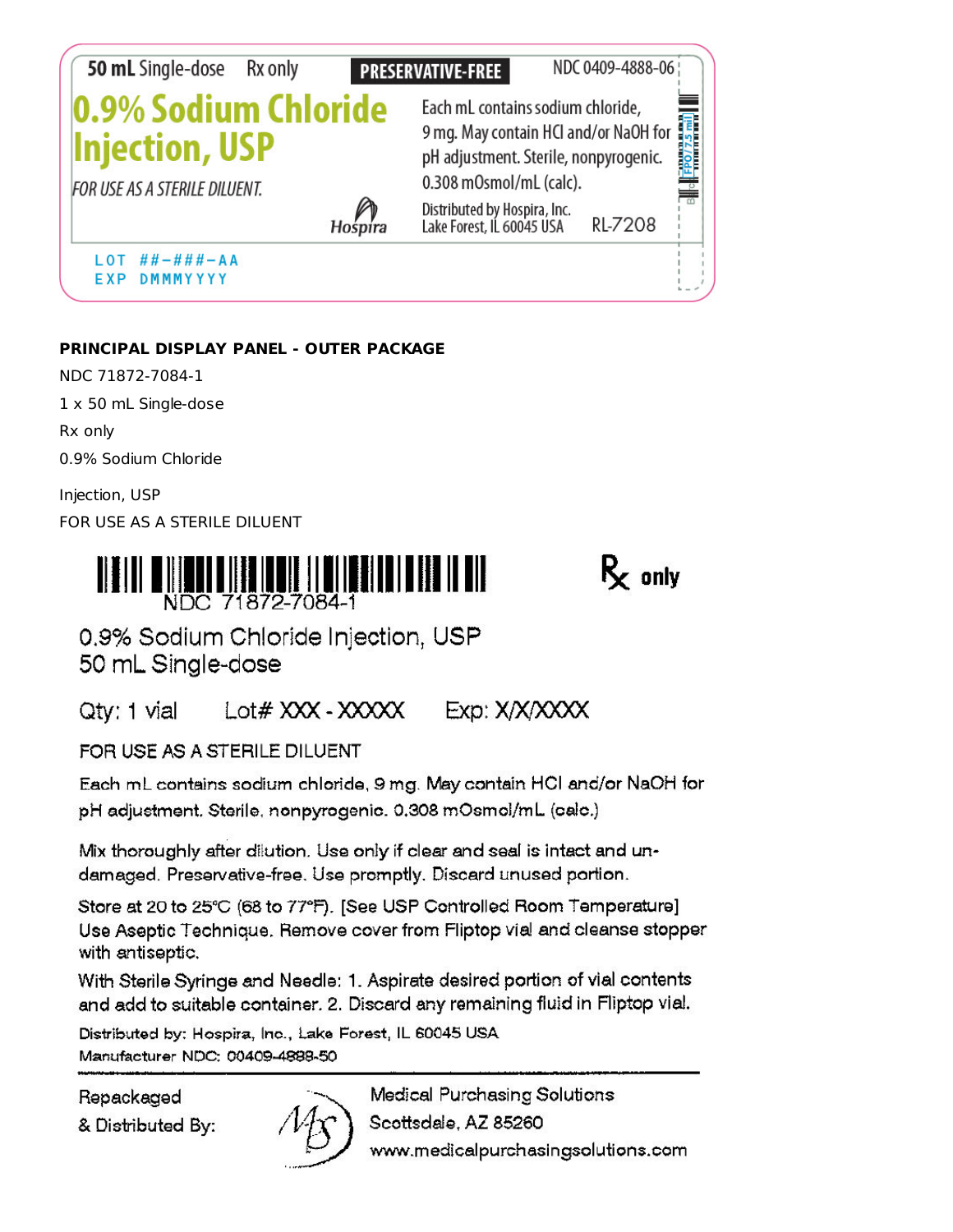

# PRINCIPAL DISPLAY PANEL - OUTER PACKAGE

NDC 71872-7084-1 1 x 50 mL Single-dose Rx only 0.9% Sodium Chloride

Injection, USP FOR USE AS A STERILE DILUENT



 $R_{r}$  only

0.9% Sodium Chloride Injection, USP 50 mL Single-dose

Qty: 1 vial  $Lot# XXX - XXXX$ Exp: X/X/XXXX

FOR USE AS A STERILE DILUENT

Each mL contains sodium chloride, 9 mg. May contain HCI and/or NaOH for pH adjustment. Sterile, nonpyrogenic. 0.308 mOsmol/mL (calc.)

Mix thoroughly after dilution. Use only if clear and seal is intact and undamaged. Preservative-free. Use promptly. Discard unused portion.

Store at 20 to 25°C (68 to 77°F). [See USP Controlled Room Temperature] Use Aseptic Technique. Remove cover from Fliptop vial and cleanse stopper with antiseptic.

With Sterile Syringe and Needle: 1. Aspirate desired portion of vial contents and add to suitable container. 2. Discard any remaining fluid in Fliptop vial.

Distributed by: Hospira, Inc., Lake Forest, IL 60045 USA Manufacturer NDC: 00409-4888-50

Repackaged

& Distributed By:



Medical Purchasing Solutions Scottsdale, AZ 85260 www.medicalpurchasingsolutions.com